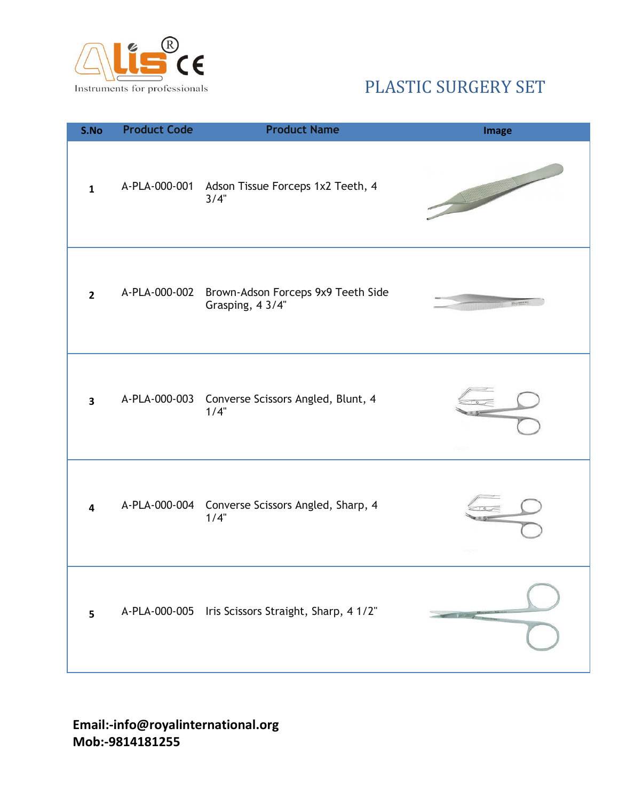

| S.No                    | <b>Product Code</b> | <b>Product Name</b>                                      | <b>Image</b>                  |
|-------------------------|---------------------|----------------------------------------------------------|-------------------------------|
| $\mathbf{1}$            |                     | A-PLA-000-001 Adson Tissue Forceps 1x2 Teeth, 4<br>3/4"  |                               |
| $\overline{2}$          | A-PLA-000-002       | Brown-Adson Forceps 9x9 Teeth Side<br>Grasping, 4 3/4"   |                               |
| $\overline{\mathbf{3}}$ |                     | A-PLA-000-003 Converse Scissors Angled, Blunt, 4<br>1/4" |                               |
| 4                       |                     | A-PLA-000-004 Converse Scissors Angled, Sharp, 4<br>1/4" |                               |
| 5                       |                     | A-PLA-000-005 Iris Scissors Straight, Sharp, 4 1/2"      | $\mathbf{V}$ and $\mathbf{V}$ |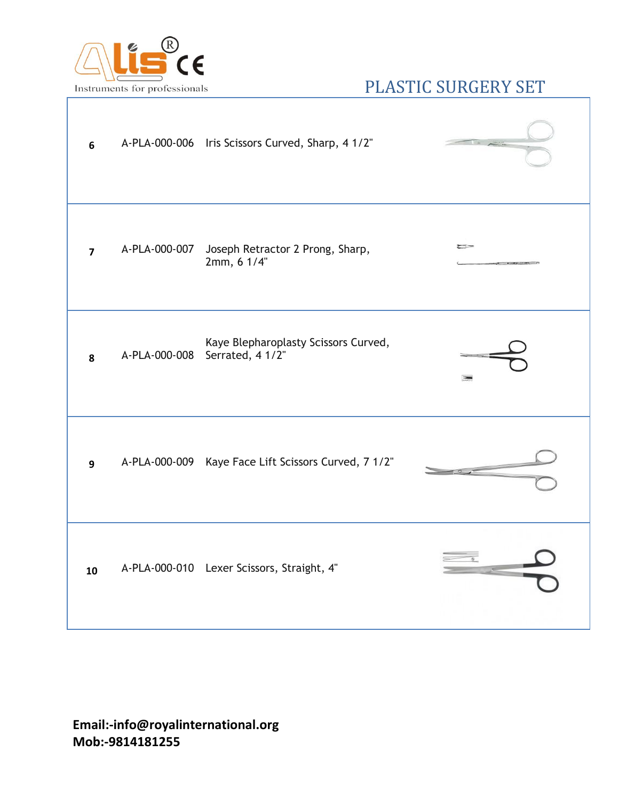

| 6              |               | A-PLA-000-006 Iris Scissors Curved, Sharp, 41/2"         |                       |
|----------------|---------------|----------------------------------------------------------|-----------------------|
| $\overline{7}$ | A-PLA-000-007 | Joseph Retractor 2 Prong, Sharp,<br>2mm, 6 1/4"          | ಲಾ                    |
| 8              | A-PLA-000-008 | Kaye Blepharoplasty Scissors Curved,<br>Serrated, 4 1/2" | $\sum_{n=1}^{\infty}$ |
| 9              |               | A-PLA-000-009 Kaye Face Lift Scissors Curved, 7 1/2"     |                       |
| 10             |               | A-PLA-000-010 Lexer Scissors, Straight, 4"               |                       |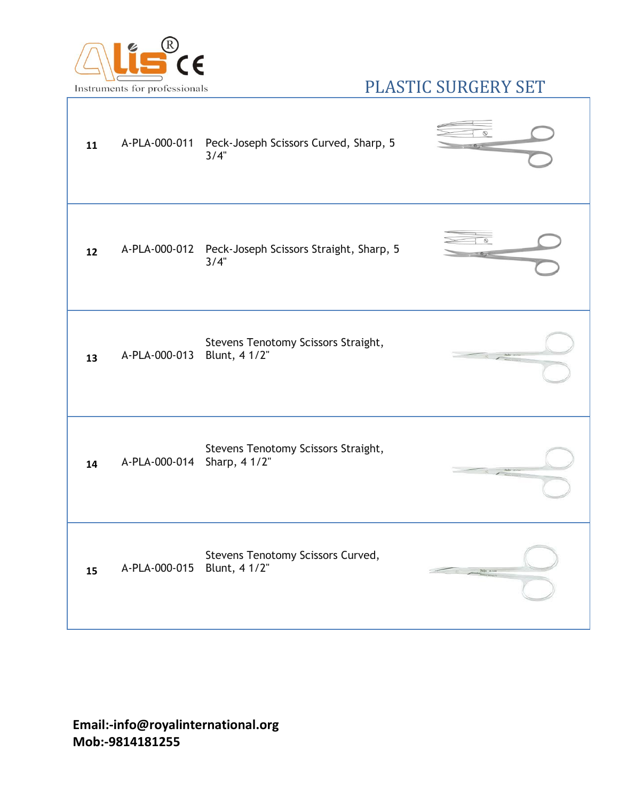

| 11 |               | A-PLA-000-011 Peck-Joseph Scissors Curved, Sharp, 5<br>3/4"   |  |
|----|---------------|---------------------------------------------------------------|--|
| 12 |               | A-PLA-000-012 Peck-Joseph Scissors Straight, Sharp, 5<br>3/4" |  |
| 13 | A-PLA-000-013 | Stevens Tenotomy Scissors Straight,<br>Blunt, 4 1/2"          |  |
| 14 | A-PLA-000-014 | Stevens Tenotomy Scissors Straight,<br>Sharp, 4 1/2"          |  |
| 15 | A-PLA-000-015 | Stevens Tenotomy Scissors Curved,<br>Blunt, 4 1/2"            |  |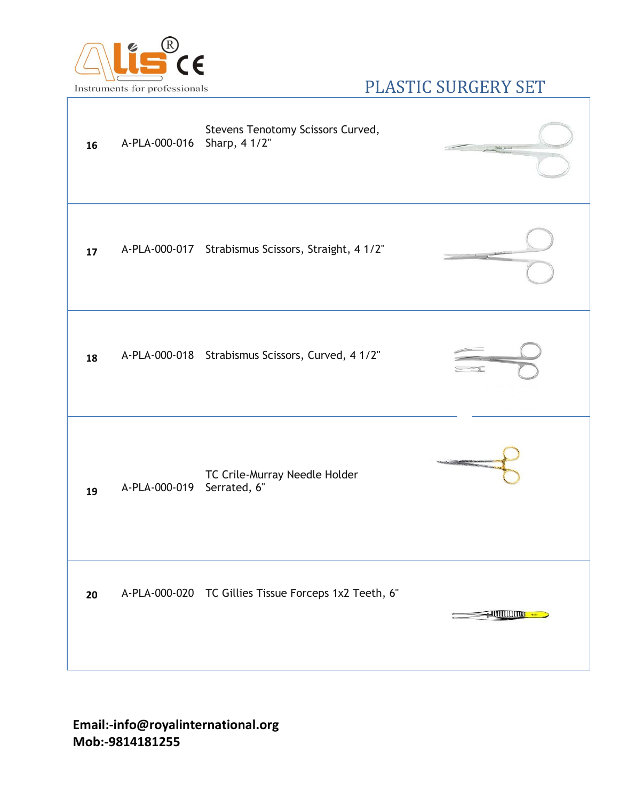

| 16 | A-PLA-000-016 Sharp, 4 1/2" | Stevens Tenotomy Scissors Curved,                     |                        |
|----|-----------------------------|-------------------------------------------------------|------------------------|
| 17 |                             | A-PLA-000-017 Strabismus Scissors, Straight, 4 1/2"   |                        |
| 18 |                             | A-PLA-000-018 Strabismus Scissors, Curved, 41/2"      |                        |
| 19 | A-PLA-000-019 Serrated, 6"  | TC Crile-Murray Needle Holder                         |                        |
| 20 |                             | A-PLA-000-020 TC Gillies Tissue Forceps 1x2 Teeth, 6" | <u> JUULUUTTU KARA</u> |